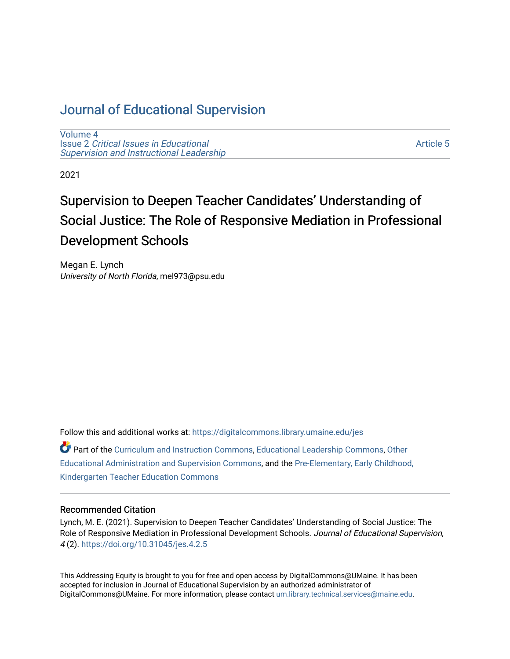# [Journal of Educational Supervision](https://digitalcommons.library.umaine.edu/jes)

[Volume 4](https://digitalcommons.library.umaine.edu/jes/vol4) Issue 2 [Critical Issues in Educational](https://digitalcommons.library.umaine.edu/jes/vol4/iss2) [Supervision and Instructional Leadership](https://digitalcommons.library.umaine.edu/jes/vol4/iss2) 

[Article 5](https://digitalcommons.library.umaine.edu/jes/vol4/iss2/5) 

2021

# Supervision to Deepen Teacher Candidates' Understanding of Social Justice: The Role of Responsive Mediation in Professional Development Schools

Megan E. Lynch University of North Florida, mel973@psu.edu

Follow this and additional works at: [https://digitalcommons.library.umaine.edu/jes](https://digitalcommons.library.umaine.edu/jes?utm_source=digitalcommons.library.umaine.edu%2Fjes%2Fvol4%2Fiss2%2F5&utm_medium=PDF&utm_campaign=PDFCoverPages)

Part of the [Curriculum and Instruction Commons,](http://network.bepress.com/hgg/discipline/786?utm_source=digitalcommons.library.umaine.edu%2Fjes%2Fvol4%2Fiss2%2F5&utm_medium=PDF&utm_campaign=PDFCoverPages) [Educational Leadership Commons,](http://network.bepress.com/hgg/discipline/1230?utm_source=digitalcommons.library.umaine.edu%2Fjes%2Fvol4%2Fiss2%2F5&utm_medium=PDF&utm_campaign=PDFCoverPages) [Other](http://network.bepress.com/hgg/discipline/794?utm_source=digitalcommons.library.umaine.edu%2Fjes%2Fvol4%2Fiss2%2F5&utm_medium=PDF&utm_campaign=PDFCoverPages) [Educational Administration and Supervision Commons,](http://network.bepress.com/hgg/discipline/794?utm_source=digitalcommons.library.umaine.edu%2Fjes%2Fvol4%2Fiss2%2F5&utm_medium=PDF&utm_campaign=PDFCoverPages) and the [Pre-Elementary, Early Childhood,](http://network.bepress.com/hgg/discipline/808?utm_source=digitalcommons.library.umaine.edu%2Fjes%2Fvol4%2Fiss2%2F5&utm_medium=PDF&utm_campaign=PDFCoverPages)  [Kindergarten Teacher Education Commons](http://network.bepress.com/hgg/discipline/808?utm_source=digitalcommons.library.umaine.edu%2Fjes%2Fvol4%2Fiss2%2F5&utm_medium=PDF&utm_campaign=PDFCoverPages) 

#### Recommended Citation

Lynch, M. E. (2021). Supervision to Deepen Teacher Candidates' Understanding of Social Justice: The Role of Responsive Mediation in Professional Development Schools. Journal of Educational Supervision, 4 (2). <https://doi.org/10.31045/jes.4.2.5>

This Addressing Equity is brought to you for free and open access by DigitalCommons@UMaine. It has been accepted for inclusion in Journal of Educational Supervision by an authorized administrator of DigitalCommons@UMaine. For more information, please contact [um.library.technical.services@maine.edu](mailto:um.library.technical.services@maine.edu).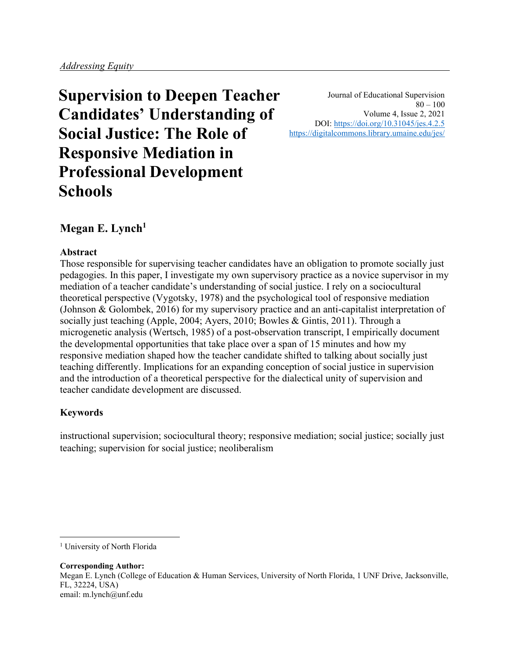**Supervision to Deepen Teacher Candidates' Understanding of Social Justice: The Role of Responsive Mediation in Professional Development Schools**

Journal of Educational Supervision  $80 - 100$ Volume 4, Issue 2, 2021 DOI: <https://doi.org/10.31045/jes.4.2.5> <https://digitalcommons.library.umaine.edu/jes/>

# **Megan E. Lynch<sup>1</sup>**

## **Abstract**

Those responsible for supervising teacher candidates have an obligation to promote socially just pedagogies. In this paper, I investigate my own supervisory practice as a novice supervisor in my mediation of a teacher candidate's understanding of social justice. I rely on a sociocultural theoretical perspective (Vygotsky, 1978) and the psychological tool of responsive mediation (Johnson & Golombek, 2016) for my supervisory practice and an anti-capitalist interpretation of socially just teaching (Apple, 2004; Ayers, 2010; Bowles & Gintis, 2011). Through a microgenetic analysis (Wertsch, 1985) of a post-observation transcript, I empirically document the developmental opportunities that take place over a span of 15 minutes and how my responsive mediation shaped how the teacher candidate shifted to talking about socially just teaching differently. Implications for an expanding conception of social justice in supervision and the introduction of a theoretical perspective for the dialectical unity of supervision and teacher candidate development are discussed.

## **Keywords**

instructional supervision; sociocultural theory; responsive mediation; social justice; socially just teaching; supervision for social justice; neoliberalism

**Corresponding Author:** Megan E. Lynch (College of Education & Human Services, University of North Florida, 1 UNF Drive, Jacksonville, FL, 32224, USA) email: m.lynch@unf.edu

<sup>1</sup> University of North Florida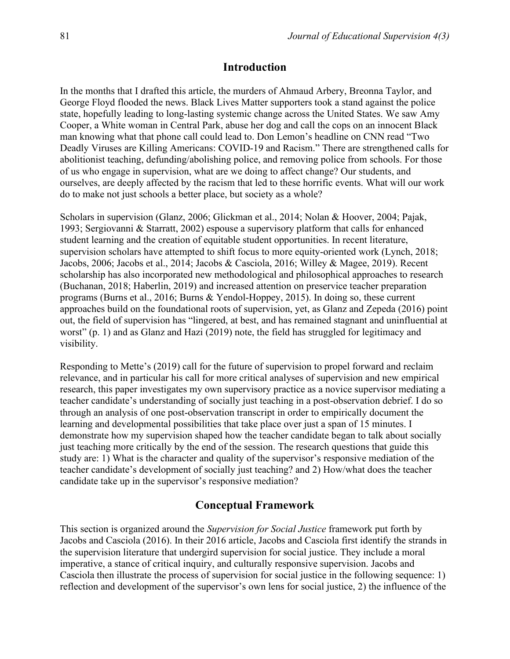#### **Introduction**

In the months that I drafted this article, the murders of Ahmaud Arbery, Breonna Taylor, and George Floyd flooded the news. Black Lives Matter supporters took a stand against the police state, hopefully leading to long-lasting systemic change across the United States. We saw Amy Cooper, a White woman in Central Park, abuse her dog and call the cops on an innocent Black man knowing what that phone call could lead to. Don Lemon's headline on CNN read "Two Deadly Viruses are Killing Americans: COVID-19 and Racism." There are strengthened calls for abolitionist teaching, defunding/abolishing police, and removing police from schools. For those of us who engage in supervision, what are we doing to affect change? Our students, and ourselves, are deeply affected by the racism that led to these horrific events. What will our work do to make not just schools a better place, but society as a whole?

Scholars in supervision (Glanz, 2006; Glickman et al., 2014; Nolan & Hoover, 2004; Pajak, 1993; Sergiovanni & Starratt, 2002) espouse a supervisory platform that calls for enhanced student learning and the creation of equitable student opportunities. In recent literature, supervision scholars have attempted to shift focus to more equity-oriented work (Lynch, 2018; Jacobs, 2006; Jacobs et al., 2014; Jacobs & Casciola, 2016; Willey & Magee, 2019). Recent scholarship has also incorporated new methodological and philosophical approaches to research (Buchanan, 2018; Haberlin, 2019) and increased attention on preservice teacher preparation programs (Burns et al., 2016; Burns & Yendol-Hoppey, 2015). In doing so, these current approaches build on the foundational roots of supervision, yet, as Glanz and Zepeda (2016) point out, the field of supervision has "lingered, at best, and has remained stagnant and uninfluential at worst" (p. 1) and as Glanz and Hazi (2019) note, the field has struggled for legitimacy and visibility.

Responding to Mette's (2019) call for the future of supervision to propel forward and reclaim relevance, and in particular his call for more critical analyses of supervision and new empirical research, this paper investigates my own supervisory practice as a novice supervisor mediating a teacher candidate's understanding of socially just teaching in a post-observation debrief. I do so through an analysis of one post-observation transcript in order to empirically document the learning and developmental possibilities that take place over just a span of 15 minutes. I demonstrate how my supervision shaped how the teacher candidate began to talk about socially just teaching more critically by the end of the session. The research questions that guide this study are: 1) What is the character and quality of the supervisor's responsive mediation of the teacher candidate's development of socially just teaching? and 2) How/what does the teacher candidate take up in the supervisor's responsive mediation?

## **Conceptual Framework**

This section is organized around the *Supervision for Social Justice* framework put forth by Jacobs and Casciola (2016). In their 2016 article, Jacobs and Casciola first identify the strands in the supervision literature that undergird supervision for social justice. They include a moral imperative, a stance of critical inquiry, and culturally responsive supervision. Jacobs and Casciola then illustrate the process of supervision for social justice in the following sequence: 1) reflection and development of the supervisor's own lens for social justice, 2) the influence of the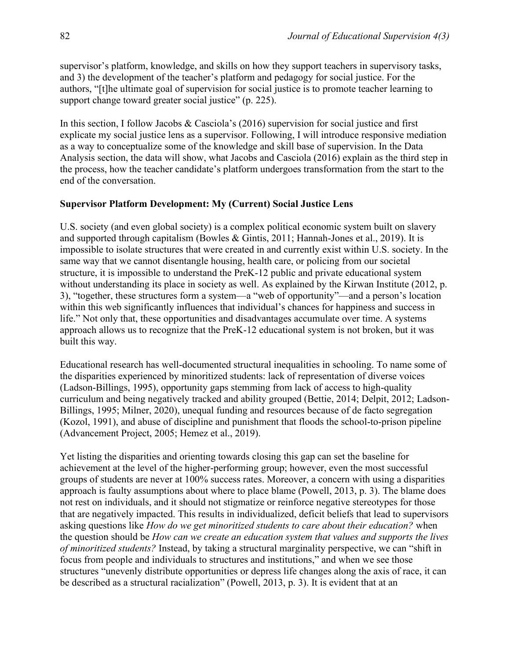supervisor's platform, knowledge, and skills on how they support teachers in supervisory tasks, and 3) the development of the teacher's platform and pedagogy for social justice. For the authors, "[t]he ultimate goal of supervision for social justice is to promote teacher learning to support change toward greater social justice" (p. 225).

In this section, I follow Jacobs  $& Casciola's (2016)$  supervision for social justice and first explicate my social justice lens as a supervisor. Following, I will introduce responsive mediation as a way to conceptualize some of the knowledge and skill base of supervision. In the Data Analysis section, the data will show, what Jacobs and Casciola (2016) explain as the third step in the process, how the teacher candidate's platform undergoes transformation from the start to the end of the conversation.

#### **Supervisor Platform Development: My (Current) Social Justice Lens**

U.S. society (and even global society) is a complex political economic system built on slavery and supported through capitalism (Bowles & Gintis, 2011; Hannah-Jones et al., 2019). It is impossible to isolate structures that were created in and currently exist within U.S. society. In the same way that we cannot disentangle housing, health care, or policing from our societal structure, it is impossible to understand the PreK-12 public and private educational system without understanding its place in society as well. As explained by the Kirwan Institute (2012, p. 3), "together, these structures form a system—a "web of opportunity"—and a person's location within this web significantly influences that individual's chances for happiness and success in life." Not only that, these opportunities and disadvantages accumulate over time. A systems approach allows us to recognize that the PreK-12 educational system is not broken, but it was built this way.

Educational research has well-documented structural inequalities in schooling. To name some of the disparities experienced by minoritized students: lack of representation of diverse voices (Ladson-Billings, 1995), opportunity gaps stemming from lack of access to high-quality curriculum and being negatively tracked and ability grouped (Bettie, 2014; Delpit, 2012; Ladson-Billings, 1995; Milner, 2020), unequal funding and resources because of de facto segregation (Kozol, 1991), and abuse of discipline and punishment that floods the school-to-prison pipeline (Advancement Project, 2005; Hemez et al., 2019).

Yet listing the disparities and orienting towards closing this gap can set the baseline for achievement at the level of the higher-performing group; however, even the most successful groups of students are never at 100% success rates. Moreover, a concern with using a disparities approach is faulty assumptions about where to place blame (Powell, 2013, p. 3). The blame does not rest on individuals, and it should not stigmatize or reinforce negative stereotypes for those that are negatively impacted. This results in individualized, deficit beliefs that lead to supervisors asking questions like *How do we get minoritized students to care about their education?* when the question should be *How can we create an education system that values and supports the lives of minoritized students?* Instead, by taking a structural marginality perspective, we can "shift in focus from people and individuals to structures and institutions," and when we see those structures "unevenly distribute opportunities or depress life changes along the axis of race, it can be described as a structural racialization" (Powell, 2013, p. 3). It is evident that at an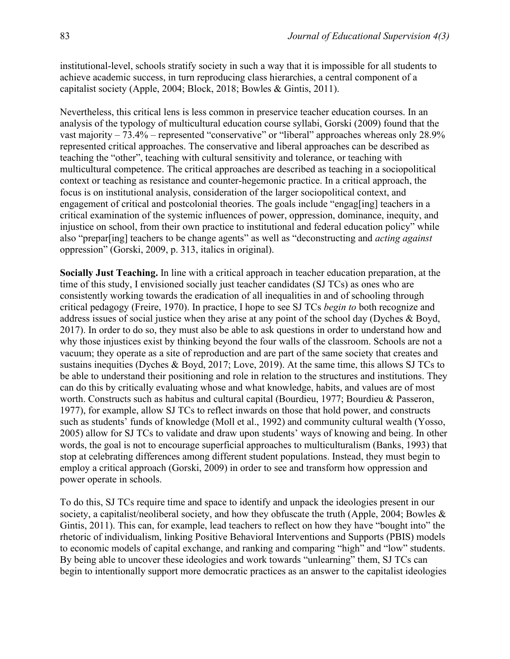institutional-level, schools stratify society in such a way that it is impossible for all students to achieve academic success, in turn reproducing class hierarchies, a central component of a capitalist society (Apple, 2004; Block, 2018; Bowles & Gintis, 2011).

Nevertheless, this critical lens is less common in preservice teacher education courses. In an analysis of the typology of multicultural education course syllabi, Gorski (2009) found that the vast majority – 73.4% – represented "conservative" or "liberal" approaches whereas only 28.9% represented critical approaches. The conservative and liberal approaches can be described as teaching the "other", teaching with cultural sensitivity and tolerance, or teaching with multicultural competence. The critical approaches are described as teaching in a sociopolitical context or teaching as resistance and counter-hegemonic practice. In a critical approach, the focus is on institutional analysis, consideration of the larger sociopolitical context, and engagement of critical and postcolonial theories. The goals include "engag[ing] teachers in a critical examination of the systemic influences of power, oppression, dominance, inequity, and injustice on school, from their own practice to institutional and federal education policy" while also "prepar[ing] teachers to be change agents" as well as "deconstructing and *acting against* oppression" (Gorski, 2009, p. 313, italics in original).

**Socially Just Teaching.** In line with a critical approach in teacher education preparation, at the time of this study, I envisioned socially just teacher candidates (SJ TCs) as ones who are consistently working towards the eradication of all inequalities in and of schooling through critical pedagogy (Freire, 1970). In practice, I hope to see SJ TCs *begin to* both recognize and address issues of social justice when they arise at any point of the school day (Dyches & Boyd, 2017). In order to do so, they must also be able to ask questions in order to understand how and why those injustices exist by thinking beyond the four walls of the classroom. Schools are not a vacuum; they operate as a site of reproduction and are part of the same society that creates and sustains inequities (Dyches & Boyd, 2017; Love, 2019). At the same time, this allows SJ TCs to be able to understand their positioning and role in relation to the structures and institutions. They can do this by critically evaluating whose and what knowledge, habits, and values are of most worth. Constructs such as habitus and cultural capital (Bourdieu, 1977; Bourdieu & Passeron, 1977), for example, allow SJ TCs to reflect inwards on those that hold power, and constructs such as students' funds of knowledge (Moll et al., 1992) and community cultural wealth (Yosso, 2005) allow for SJ TCs to validate and draw upon students' ways of knowing and being. In other words, the goal is not to encourage superficial approaches to multiculturalism (Banks, 1993) that stop at celebrating differences among different student populations. Instead, they must begin to employ a critical approach (Gorski, 2009) in order to see and transform how oppression and power operate in schools.

To do this, SJ TCs require time and space to identify and unpack the ideologies present in our society, a capitalist/neoliberal society, and how they obfuscate the truth (Apple, 2004; Bowles & Gintis, 2011). This can, for example, lead teachers to reflect on how they have "bought into" the rhetoric of individualism, linking Positive Behavioral Interventions and Supports (PBIS) models to economic models of capital exchange, and ranking and comparing "high" and "low" students. By being able to uncover these ideologies and work towards "unlearning" them, SJ TCs can begin to intentionally support more democratic practices as an answer to the capitalist ideologies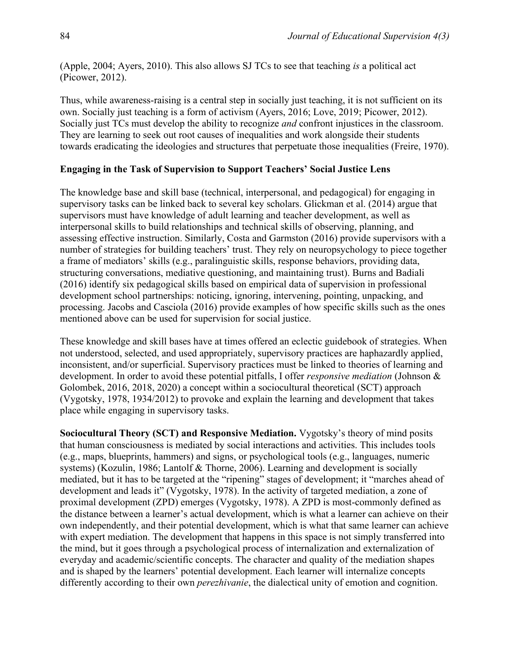(Apple, 2004; Ayers, 2010). This also allows SJ TCs to see that teaching *is* a political act (Picower, 2012).

Thus, while awareness-raising is a central step in socially just teaching, it is not sufficient on its own. Socially just teaching is a form of activism (Ayers, 2016; Love, 2019; Picower, 2012). Socially just TCs must develop the ability to recognize *and* confront injustices in the classroom. They are learning to seek out root causes of inequalities and work alongside their students towards eradicating the ideologies and structures that perpetuate those inequalities (Freire, 1970).

#### **Engaging in the Task of Supervision to Support Teachers' Social Justice Lens**

The knowledge base and skill base (technical, interpersonal, and pedagogical) for engaging in supervisory tasks can be linked back to several key scholars. Glickman et al. (2014) argue that supervisors must have knowledge of adult learning and teacher development, as well as interpersonal skills to build relationships and technical skills of observing, planning, and assessing effective instruction. Similarly, Costa and Garmston (2016) provide supervisors with a number of strategies for building teachers' trust. They rely on neuropsychology to piece together a frame of mediators' skills (e.g., paralinguistic skills, response behaviors, providing data, structuring conversations, mediative questioning, and maintaining trust). Burns and Badiali (2016) identify six pedagogical skills based on empirical data of supervision in professional development school partnerships: noticing, ignoring, intervening, pointing, unpacking, and processing. Jacobs and Casciola (2016) provide examples of how specific skills such as the ones mentioned above can be used for supervision for social justice.

These knowledge and skill bases have at times offered an eclectic guidebook of strategies. When not understood, selected, and used appropriately, supervisory practices are haphazardly applied, inconsistent, and/or superficial. Supervisory practices must be linked to theories of learning and development. In order to avoid these potential pitfalls, I offer *responsive mediation* (Johnson & Golombek, 2016, 2018, 2020) a concept within a sociocultural theoretical (SCT) approach (Vygotsky, 1978, 1934/2012) to provoke and explain the learning and development that takes place while engaging in supervisory tasks.

**Sociocultural Theory (SCT) and Responsive Mediation.** Vygotsky's theory of mind posits that human consciousness is mediated by social interactions and activities. This includes tools (e.g., maps, blueprints, hammers) and signs, or psychological tools (e.g., languages, numeric systems) (Kozulin, 1986; Lantolf & Thorne, 2006). Learning and development is socially mediated, but it has to be targeted at the "ripening" stages of development; it "marches ahead of development and leads it" (Vygotsky, 1978). In the activity of targeted mediation, a zone of proximal development (ZPD) emerges (Vygotsky, 1978). A ZPD is most-commonly defined as the distance between a learner's actual development, which is what a learner can achieve on their own independently, and their potential development, which is what that same learner can achieve with expert mediation. The development that happens in this space is not simply transferred into the mind, but it goes through a psychological process of internalization and externalization of everyday and academic/scientific concepts. The character and quality of the mediation shapes and is shaped by the learners' potential development. Each learner will internalize concepts differently according to their own *perezhivanie*, the dialectical unity of emotion and cognition.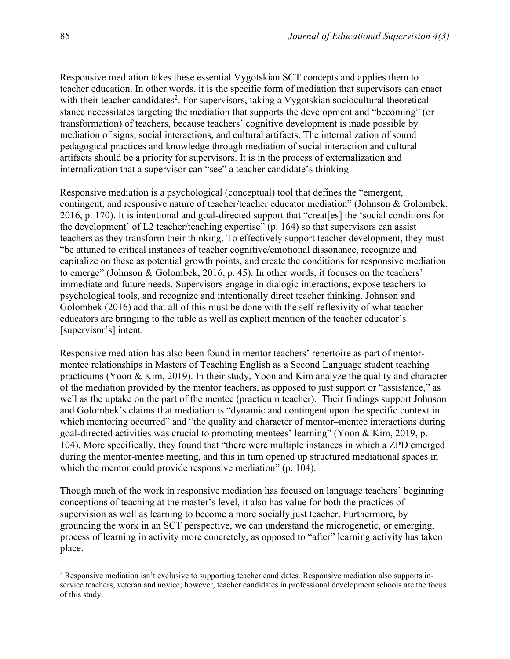Responsive mediation takes these essential Vygotskian SCT concepts and applies them to teacher education. In other words, it is the specific form of mediation that supervisors can enact with their teacher candidates<sup>2</sup>. For supervisors, taking a Vygotskian sociocultural theoretical stance necessitates targeting the mediation that supports the development and "becoming" (or transformation) of teachers, because teachers' cognitive development is made possible by mediation of signs, social interactions, and cultural artifacts. The internalization of sound pedagogical practices and knowledge through mediation of social interaction and cultural artifacts should be a priority for supervisors. It is in the process of externalization and internalization that a supervisor can "see" a teacher candidate's thinking.

Responsive mediation is a psychological (conceptual) tool that defines the "emergent, contingent, and responsive nature of teacher/teacher educator mediation" (Johnson & Golombek, 2016, p. 170). It is intentional and goal-directed support that "creat[es] the 'social conditions for the development' of L2 teacher/teaching expertise" (p. 164) so that supervisors can assist teachers as they transform their thinking. To effectively support teacher development, they must "be attuned to critical instances of teacher cognitive/emotional dissonance, recognize and capitalize on these as potential growth points, and create the conditions for responsive mediation to emerge" (Johnson & Golombek, 2016, p. 45). In other words, it focuses on the teachers' immediate and future needs. Supervisors engage in dialogic interactions, expose teachers to psychological tools, and recognize and intentionally direct teacher thinking. Johnson and Golombek (2016) add that all of this must be done with the self-reflexivity of what teacher educators are bringing to the table as well as explicit mention of the teacher educator's [supervisor's] intent.

Responsive mediation has also been found in mentor teachers' repertoire as part of mentormentee relationships in Masters of Teaching English as a Second Language student teaching practicums (Yoon & Kim, 2019). In their study, Yoon and Kim analyze the quality and character of the mediation provided by the mentor teachers, as opposed to just support or "assistance," as well as the uptake on the part of the mentee (practicum teacher). Their findings support Johnson and Golombek's claims that mediation is "dynamic and contingent upon the specific context in which mentoring occurred" and "the quality and character of mentor-mentee interactions during goal-directed activities was crucial to promoting mentees' learning" (Yoon & Kim, 2019, p. 104). More specifically, they found that "there were multiple instances in which a ZPD emerged during the mentor-mentee meeting, and this in turn opened up structured mediational spaces in which the mentor could provide responsive mediation" (p. 104).

Though much of the work in responsive mediation has focused on language teachers' beginning conceptions of teaching at the master's level, it also has value for both the practices of supervision as well as learning to become a more socially just teacher. Furthermore, by grounding the work in an SCT perspective, we can understand the microgenetic, or emerging, process of learning in activity more concretely, as opposed to "after" learning activity has taken place.

<sup>2</sup> Responsive mediation isn't exclusive to supporting teacher candidates. Responsive mediation also supports inservice teachers, veteran and novice; however, teacher candidates in professional development schools are the focus of this study.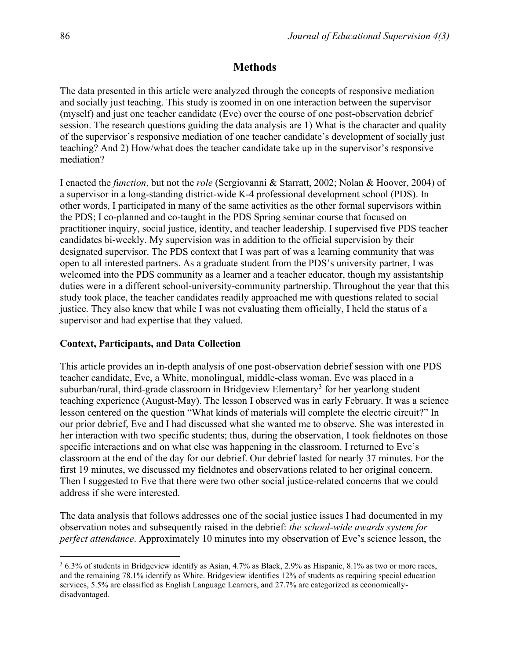## **Methods**

The data presented in this article were analyzed through the concepts of responsive mediation and socially just teaching. This study is zoomed in on one interaction between the supervisor (myself) and just one teacher candidate (Eve) over the course of one post-observation debrief session. The research questions guiding the data analysis are 1) What is the character and quality of the supervisor's responsive mediation of one teacher candidate's development of socially just teaching? And 2) How/what does the teacher candidate take up in the supervisor's responsive mediation?

I enacted the *function*, but not the *role* (Sergiovanni & Starratt, 2002; Nolan & Hoover, 2004) of a supervisor in a long-standing district-wide K-4 professional development school (PDS). In other words, I participated in many of the same activities as the other formal supervisors within the PDS; I co-planned and co-taught in the PDS Spring seminar course that focused on practitioner inquiry, social justice, identity, and teacher leadership. I supervised five PDS teacher candidates bi-weekly. My supervision was in addition to the official supervision by their designated supervisor. The PDS context that I was part of was a learning community that was open to all interested partners. As a graduate student from the PDS's university partner, I was welcomed into the PDS community as a learner and a teacher educator, though my assistantship duties were in a different school-university-community partnership. Throughout the year that this study took place, the teacher candidates readily approached me with questions related to social justice. They also knew that while I was not evaluating them officially, I held the status of a supervisor and had expertise that they valued.

## **Context, Participants, and Data Collection**

This article provides an in-depth analysis of one post-observation debrief session with one PDS teacher candidate, Eve, a White, monolingual, middle-class woman. Eve was placed in a suburban/rural, third-grade classroom in Bridgeview Elementary<sup>3</sup> for her yearlong student teaching experience (August-May). The lesson I observed was in early February. It was a science lesson centered on the question "What kinds of materials will complete the electric circuit?" In our prior debrief, Eve and I had discussed what she wanted me to observe. She was interested in her interaction with two specific students; thus, during the observation, I took fieldnotes on those specific interactions and on what else was happening in the classroom. I returned to Eve's classroom at the end of the day for our debrief. Our debrief lasted for nearly 37 minutes. For the first 19 minutes, we discussed my fieldnotes and observations related to her original concern. Then I suggested to Eve that there were two other social justice-related concerns that we could address if she were interested.

The data analysis that follows addresses one of the social justice issues I had documented in my observation notes and subsequently raised in the debrief: *the school-wide awards system for perfect attendance*. Approximately 10 minutes into my observation of Eve's science lesson, the

<sup>3</sup> 6.3% of students in Bridgeview identify as Asian, 4.7% as Black, 2.9% as Hispanic, 8.1% as two or more races, and the remaining 78.1% identify as White. Bridgeview identifies 12% of students as requiring special education services, 5.5% are classified as English Language Learners, and 27.7% are categorized as economicallydisadvantaged.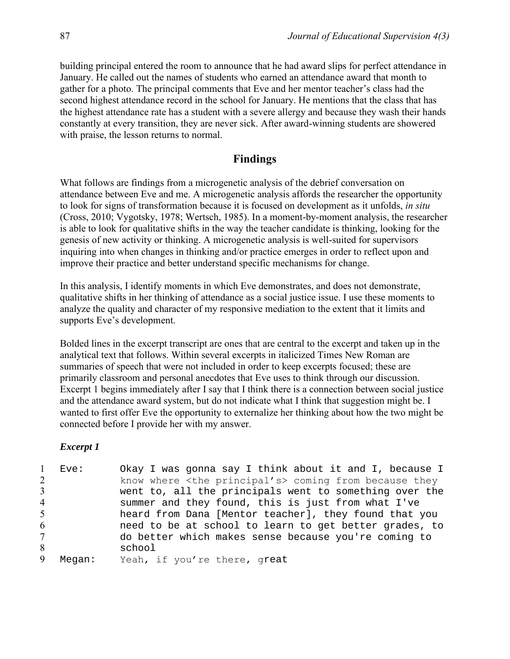building principal entered the room to announce that he had award slips for perfect attendance in January. He called out the names of students who earned an attendance award that month to gather for a photo. The principal comments that Eve and her mentor teacher's class had the second highest attendance record in the school for January. He mentions that the class that has the highest attendance rate has a student with a severe allergy and because they wash their hands constantly at every transition, they are never sick. After award-winning students are showered with praise, the lesson returns to normal.

## **Findings**

What follows are findings from a microgenetic analysis of the debrief conversation on attendance between Eve and me. A microgenetic analysis affords the researcher the opportunity to look for signs of transformation because it is focused on development as it unfolds, *in situ*  (Cross, 2010; Vygotsky, 1978; Wertsch, 1985). In a moment-by-moment analysis, the researcher is able to look for qualitative shifts in the way the teacher candidate is thinking, looking for the genesis of new activity or thinking. A microgenetic analysis is well-suited for supervisors inquiring into when changes in thinking and/or practice emerges in order to reflect upon and improve their practice and better understand specific mechanisms for change.

In this analysis, I identify moments in which Eve demonstrates, and does not demonstrate, qualitative shifts in her thinking of attendance as a social justice issue. I use these moments to analyze the quality and character of my responsive mediation to the extent that it limits and supports Eve's development.

Bolded lines in the excerpt transcript are ones that are central to the excerpt and taken up in the analytical text that follows. Within several excerpts in italicized Times New Roman are summaries of speech that were not included in order to keep excerpts focused; these are primarily classroom and personal anecdotes that Eve uses to think through our discussion. Excerpt 1 begins immediately after I say that I think there is a connection between social justice and the attendance award system, but do not indicate what I think that suggestion might be. I wanted to first offer Eve the opportunity to externalize her thinking about how the two might be connected before I provide her with my answer.

|                | Eve:  | Okay I was gonna say I think about it and I, because I         |
|----------------|-------|----------------------------------------------------------------|
| $\overline{2}$ |       | know where <the principal's=""> coming from because they</the> |
| 3              |       | went to, all the principals went to something over the         |
| 4              |       | summer and they found, this is just from what I've             |
| 5              |       | heard from Dana [Mentor teacher], they found that you          |
| 6              |       | need to be at school to learn to get better grades, to         |
| $\tau$         |       | do better which makes sense because you're coming to           |
| 8              |       | school                                                         |
| 9              | Mean: | Yeah, if you're there, great                                   |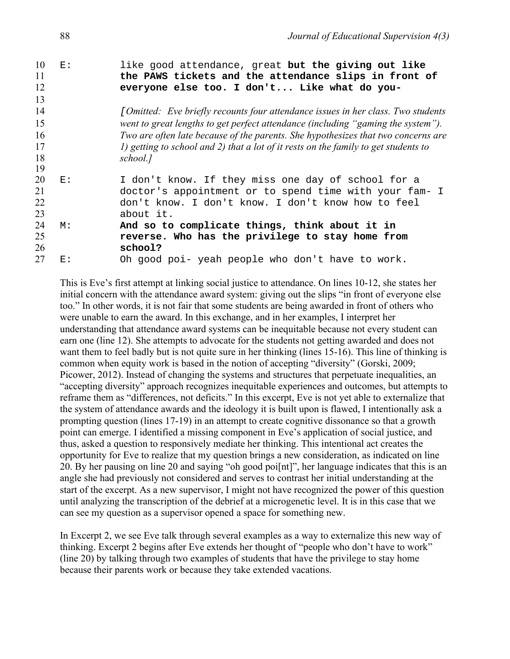| 10 | E:   | like good attendance, great but the giving out like                                 |
|----|------|-------------------------------------------------------------------------------------|
| 11 |      | the PAWS tickets and the attendance slips in front of                               |
| 12 |      | everyone else too. I don't Like what do you-                                        |
| 13 |      |                                                                                     |
| 14 |      | [Omitted: Eve briefly recounts four attendance issues in her class. Two students    |
| 15 |      | went to great lengths to get perfect attendance (including "gaming the system").    |
| 16 |      | Two are often late because of the parents. She hypothesizes that two concerns are   |
| 17 |      | 1) getting to school and 2) that a lot of it rests on the family to get students to |
| 18 |      | school.]                                                                            |
| 19 |      |                                                                                     |
| 20 | E:   | I don't know. If they miss one day of school for a                                  |
| 21 |      | doctor's appointment or to spend time with your fam- I                              |
| 22 |      | don't know. I don't know. I don't know how to feel                                  |
| 23 |      | about it.                                                                           |
| 24 | M:   | And so to complicate things, think about it in                                      |
| 25 |      | reverse. Who has the privilege to stay home from                                    |
| 26 |      | school?                                                                             |
| 27 | F. : | Oh good poi- yeah people who don't have to work.                                    |

This is Eve's first attempt at linking social justice to attendance. On lines 10-12, she states her initial concern with the attendance award system: giving out the slips "in front of everyone else too." In other words, it is not fair that some students are being awarded in front of others who were unable to earn the award. In this exchange, and in her examples, I interpret her understanding that attendance award systems can be inequitable because not every student can earn one (line 12). She attempts to advocate for the students not getting awarded and does not want them to feel badly but is not quite sure in her thinking (lines 15-16). This line of thinking is common when equity work is based in the notion of accepting "diversity" (Gorski, 2009; Picower, 2012). Instead of changing the systems and structures that perpetuate inequalities, an "accepting diversity" approach recognizes inequitable experiences and outcomes, but attempts to reframe them as "differences, not deficits." In this excerpt, Eve is not yet able to externalize that the system of attendance awards and the ideology it is built upon is flawed, I intentionally ask a prompting question (lines 17-19) in an attempt to create cognitive dissonance so that a growth point can emerge. I identified a missing component in Eve's application of social justice, and thus, asked a question to responsively mediate her thinking. This intentional act creates the opportunity for Eve to realize that my question brings a new consideration, as indicated on line 20. By her pausing on line 20 and saying "oh good poi[nt]", her language indicates that this is an angle she had previously not considered and serves to contrast her initial understanding at the start of the excerpt. As a new supervisor, I might not have recognized the power of this question until analyzing the transcription of the debrief at a microgenetic level. It is in this case that we can see my question as a supervisor opened a space for something new.

In Excerpt 2, we see Eve talk through several examples as a way to externalize this new way of thinking. Excerpt 2 begins after Eve extends her thought of "people who don't have to work" (line 20) by talking through two examples of students that have the privilege to stay home because their parents work or because they take extended vacations.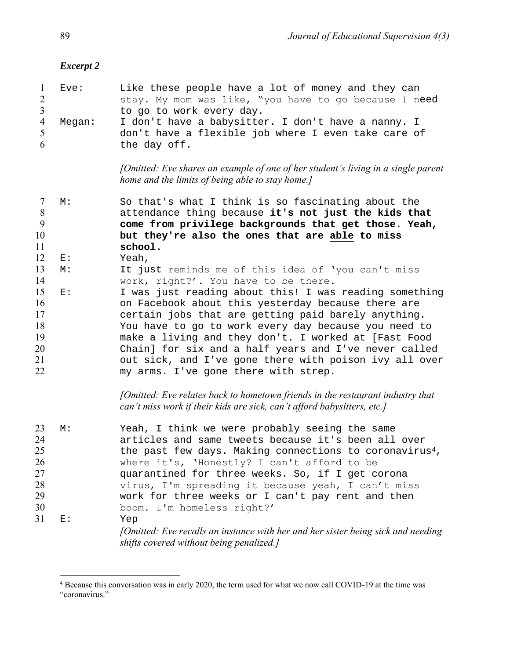#### *Excerpt 2*

|   | l Eve:   | Like these people have a lot of money and they can    |
|---|----------|-------------------------------------------------------|
| 2 |          | stay. My mom was like, "you have to go because I need |
| 3 |          | to go to work every day.                              |
|   | 4 Megan: | I don't have a babysitter. I don't have a nanny. I    |
| 5 |          | don't have a flexible job where I even take care of   |
| 6 |          | the day off.                                          |

*[Omitted: Eve shares an example of one of her student's living in a single parent home and the limits of being able to stay home.]*

 M: So that's what I think is so fascinating about the attendance thing because **it's not just the kids that come from privilege backgrounds that get those. Yeah, but they're also the ones that are able to miss** 

- **school.**  E: Yeah,
- M: It just reminds me of this idea of 'you can't miss work, right?'. You have to be there.
- E: I was just reading about this! I was reading something on Facebook about this yesterday because there are certain jobs that are getting paid barely anything. You have to go to work every day because you need to make a living and they don't. I worked at [Fast Food Chain] for six and a half years and I've never called out sick, and I've gone there with poison ivy all over my arms. I've gone there with strep.

*[Omitted: Eve relates back to hometown friends in the restaurant industry that can't miss work if their kids are sick, can't afford babysitters, etc.]*

| 23 | М: | Yeah, I think we were probably seeing the same                                                                               |
|----|----|------------------------------------------------------------------------------------------------------------------------------|
| 24 |    | articles and same tweets because it's been all over                                                                          |
| 25 |    | the past few days. Making connections to coronavirus <sup>4</sup> ,                                                          |
| 26 |    | where it's, 'Honestly? I can't afford to be                                                                                  |
| 27 |    | quarantined for three weeks. So, if I get corona                                                                             |
| 28 |    | virus, I'm spreading it because yeah, I can't miss                                                                           |
| 29 |    | work for three weeks or I can't pay rent and then                                                                            |
| 30 |    | boom. I'm homeless right?'                                                                                                   |
| 31 | E: | Yep                                                                                                                          |
|    |    | [Omitted: Eve recalls an instance with her and her sister being sick and needing<br>shifts covered without being penalized.] |

 Because this conversation was in early 2020, the term used for what we now call COVID-19 at the time was "coronavirus."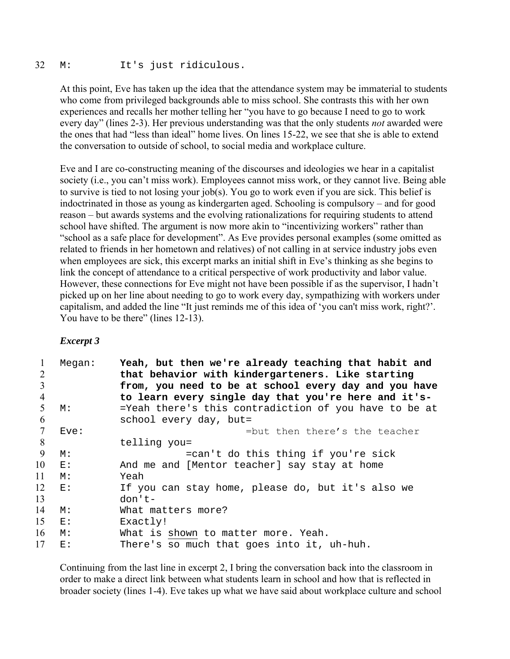#### 32 M: It's just ridiculous.

At this point, Eve has taken up the idea that the attendance system may be immaterial to students who come from privileged backgrounds able to miss school. She contrasts this with her own experiences and recalls her mother telling her "you have to go because I need to go to work every day" (lines 2-3). Her previous understanding was that the only students *not* awarded were the ones that had "less than ideal" home lives. On lines 15-22, we see that she is able to extend the conversation to outside of school, to social media and workplace culture.

Eve and I are co-constructing meaning of the discourses and ideologies we hear in a capitalist society (i.e., you can't miss work). Employees cannot miss work, or they cannot live. Being able to survive is tied to not losing your job(s). You go to work even if you are sick. This belief is indoctrinated in those as young as kindergarten aged. Schooling is compulsory – and for good reason – but awards systems and the evolving rationalizations for requiring students to attend school have shifted. The argument is now more akin to "incentivizing workers" rather than "school as a safe place for development". As Eve provides personal examples (some omitted as related to friends in her hometown and relatives) of not calling in at service industry jobs even when employees are sick, this excerpt marks an initial shift in Eve's thinking as she begins to link the concept of attendance to a critical perspective of work productivity and labor value. However, these connections for Eve might not have been possible if as the supervisor, I hadn't picked up on her line about needing to go to work every day, sympathizing with workers under capitalism, and added the line "It just reminds me of this idea of 'you can't miss work, right?'. You have to be there" (lines 12-13).

## *Excerpt 3*

| 1<br>2<br>3 | Megan: | Yeah, but then we're already teaching that habit and<br>that behavior with kindergarteners. Like starting<br>from, you need to be at school every day and you have |
|-------------|--------|--------------------------------------------------------------------------------------------------------------------------------------------------------------------|
| 4           |        | to learn every single day that you're here and it's-                                                                                                               |
| 5           | М:     | =Yeah there's this contradiction of you have to be at                                                                                                              |
| 6           |        | school every day, but=                                                                                                                                             |
| 7           | Eve:   | =but then there's the teacher                                                                                                                                      |
| 8           |        | telling you=                                                                                                                                                       |
| 9           | M:     | =can't do this thing if you're sick                                                                                                                                |
| 10          | E:     | And me and [Mentor teacher] say stay at home                                                                                                                       |
| 11          | M:     | Yeah                                                                                                                                                               |
| 12          | E:     | If you can stay home, please do, but it's also we                                                                                                                  |
| 13          |        | $don't-$                                                                                                                                                           |
| 14          | M:     | What matters more?                                                                                                                                                 |
| 15          | E:     | Exactly!                                                                                                                                                           |
| 16          | M:     | What is shown to matter more. Yeah.                                                                                                                                |
| 17          | E:     | There's so much that goes into it, uh-huh.                                                                                                                         |

Continuing from the last line in excerpt 2, I bring the conversation back into the classroom in order to make a direct link between what students learn in school and how that is reflected in broader society (lines 1-4). Eve takes up what we have said about workplace culture and school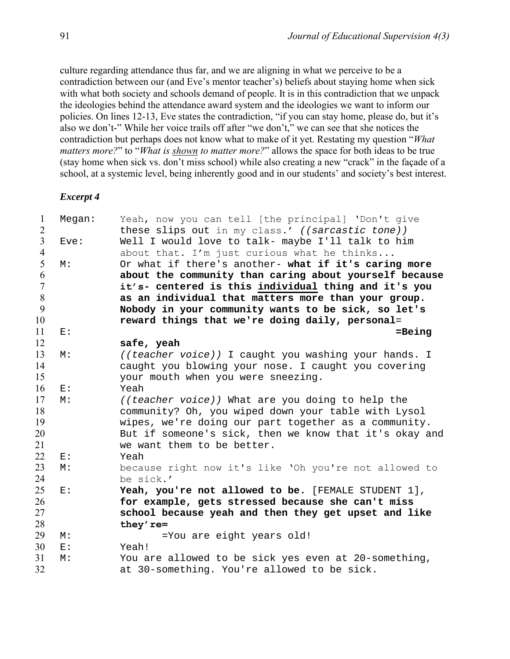culture regarding attendance thus far, and we are aligning in what we perceive to be a contradiction between our (and Eve's mentor teacher's) beliefs about staying home when sick with what both society and schools demand of people. It is in this contradiction that we unpack the ideologies behind the attendance award system and the ideologies we want to inform our policies. On lines 12-13, Eve states the contradiction, "if you can stay home, please do, but it's also we don't-" While her voice trails off after "we don't," we can see that she notices the contradiction but perhaps does not know what to make of it yet. Restating my question "*What matters more?*" to "*What is shown to matter more?*" allows the space for both ideas to be true (stay home when sick vs. don't miss school) while also creating a new "crack" in the façade of a school, at a systemic level, being inherently good and in our students' and society's best interest.

| $\mathbf{1}$   | Megan: | Yeah, now you can tell [the principal] 'Don't give     |
|----------------|--------|--------------------------------------------------------|
| $\overline{2}$ |        | these slips out in my class.' ((sarcastic tone))       |
| $\overline{3}$ | Eve:   | Well I would love to talk- maybe I'll talk to him      |
| $\overline{4}$ |        | about that. I'm just curious what he thinks            |
| 5              | М:     | Or what if there's another- what if it's caring more   |
| 6              |        | about the community than caring about yourself because |
| $\overline{7}$ |        | it's- centered is this individual thing and it's you   |
| 8              |        | as an individual that matters more than your group.    |
| 9              |        | Nobody in your community wants to be sick, so let's    |
| 10             |        | reward things that we're doing daily, personal=        |
| 11             | E:     | $=$ Being                                              |
| 12             |        | safe, yeah                                             |
| 13             | М:     | ((teacher voice)) I caught you washing your hands. I   |
| 14             |        | caught you blowing your nose. I caught you covering    |
| 15             |        | your mouth when you were sneezing.                     |
| 16             | E:     | Yeah                                                   |
| 17             | M:     | ((teacher voice)) What are you doing to help the       |
| 18             |        | community? Oh, you wiped down your table with Lysol    |
| 19             |        | wipes, we're doing our part together as a community.   |
| 20             |        | But if someone's sick, then we know that it's okay and |
| 21             |        | we want them to be better.                             |
| 22             | $E$ :  | Yeah                                                   |
| 23             | М:     | because right now it's like 'Oh you're not allowed to  |
| 24             |        | be sick.'                                              |
| 25             | E:     | Yeah, you're not allowed to be. [FEMALE STUDENT 1],    |
| 26             |        | for example, gets stressed because she can't miss      |
| 27             |        | school because yeah and then they get upset and like   |
| 28             |        | they' re=                                              |
| 29             | М:     | =You are eight years old!                              |
| 30             | E:     | Yeah!                                                  |
| 31             | M:     | You are allowed to be sick yes even at 20-something,   |
| 32             |        | at 30-something. You're allowed to be sick.            |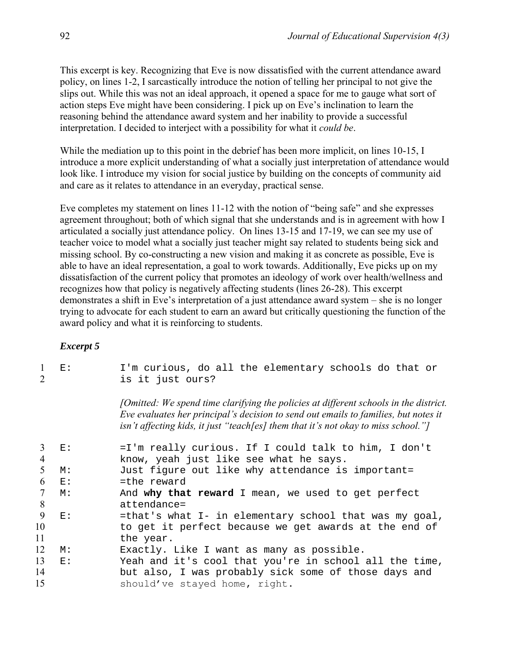This excerpt is key. Recognizing that Eve is now dissatisfied with the current attendance award policy, on lines 1-2, I sarcastically introduce the notion of telling her principal to not give the slips out. While this was not an ideal approach, it opened a space for me to gauge what sort of action steps Eve might have been considering. I pick up on Eve's inclination to learn the reasoning behind the attendance award system and her inability to provide a successful interpretation. I decided to interject with a possibility for what it *could be*.

While the mediation up to this point in the debrief has been more implicit, on lines 10-15, I introduce a more explicit understanding of what a socially just interpretation of attendance would look like. I introduce my vision for social justice by building on the concepts of community aid and care as it relates to attendance in an everyday, practical sense.

Eve completes my statement on lines 11-12 with the notion of "being safe" and she expresses agreement throughout; both of which signal that she understands and is in agreement with how I articulated a socially just attendance policy. On lines 13-15 and 17-19, we can see my use of teacher voice to model what a socially just teacher might say related to students being sick and missing school. By co-constructing a new vision and making it as concrete as possible, Eve is able to have an ideal representation, a goal to work towards. Additionally, Eve picks up on my dissatisfaction of the current policy that promotes an ideology of work over health/wellness and recognizes how that policy is negatively affecting students (lines 26-28). This excerpt demonstrates a shift in Eve's interpretation of a just attendance award system – she is no longer trying to advocate for each student to earn an award but critically questioning the function of the award policy and what it is reinforcing to students.

| $\mathcal{L}$ | E: | I'm curious, do all the elementary schools do that or<br>is it just ours?                                                                                                                                                                                           |
|---------------|----|---------------------------------------------------------------------------------------------------------------------------------------------------------------------------------------------------------------------------------------------------------------------|
|               |    | [Omitted: We spend time clarifying the policies at different schools in the district.]<br>Eve evaluates her principal's decision to send out emails to families, but notes it<br>isn't affecting kids, it just "teach[es] them that it's not okay to miss school."] |
| 3             | E: | =I'm really curious. If I could talk to him, I don't                                                                                                                                                                                                                |
| 4             |    | know, yeah just like see what he says.                                                                                                                                                                                                                              |
| 5             | M: | Just figure out like why attendance is important=                                                                                                                                                                                                                   |
| 6             | E: | =the reward                                                                                                                                                                                                                                                         |
| 7             | M: | And why that reward I mean, we used to get perfect                                                                                                                                                                                                                  |
| 8             |    | attendance=                                                                                                                                                                                                                                                         |
| 9             | E: | =that's what I- in elementary school that was my goal,                                                                                                                                                                                                              |
| 10            |    | to get it perfect because we get awards at the end of                                                                                                                                                                                                               |
| 11            |    | the year.                                                                                                                                                                                                                                                           |
| 12            | M: | Exactly. Like I want as many as possible.                                                                                                                                                                                                                           |
| 13            | E: | Yeah and it's cool that you're in school all the time,                                                                                                                                                                                                              |
| 14            |    | but also, I was probably sick some of those days and                                                                                                                                                                                                                |
| 15            |    | should've stayed home, right.                                                                                                                                                                                                                                       |
|               |    |                                                                                                                                                                                                                                                                     |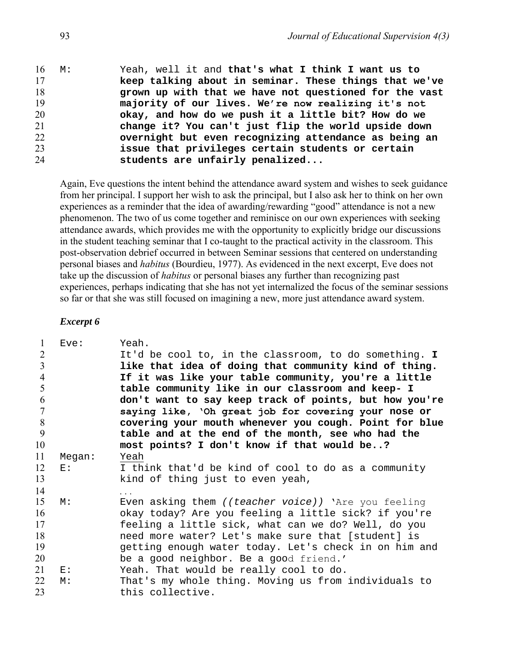| $16 \quad M$ : | Yeah, well it and that's what I think I want us to     |
|----------------|--------------------------------------------------------|
| 17             | keep talking about in seminar. These things that we've |
| 18             | grown up with that we have not questioned for the vast |
| 19             | majority of our lives. We're now realizing it's not    |
| 20             | okay, and how do we push it a little bit? How do we    |
| 21             | change it? You can't just flip the world upside down   |
| 22             | overnight but even recognizing attendance as being an  |
| 23             | issue that privileges certain students or certain      |
| 24             | students are unfairly penalized                        |

Again, Eve questions the intent behind the attendance award system and wishes to seek guidance from her principal. I support her wish to ask the principal, but I also ask her to think on her own experiences as a reminder that the idea of awarding/rewarding "good" attendance is not a new phenomenon. The two of us come together and reminisce on our own experiences with seeking attendance awards, which provides me with the opportunity to explicitly bridge our discussions in the student teaching seminar that I co-taught to the practical activity in the classroom. This post-observation debrief occurred in between Seminar sessions that centered on understanding personal biases and *habitus* (Bourdieu, 1977). As evidenced in the next excerpt, Eve does not take up the discussion of *habitus* or personal biases any further than recognizing past experiences, perhaps indicating that she has not yet internalized the focus of the seminar sessions so far or that she was still focused on imagining a new, more just attendance award system.

| 1              | Eve:   | Yeah.                                                  |
|----------------|--------|--------------------------------------------------------|
| $\overline{2}$ |        | It'd be cool to, in the classroom, to do something. I  |
| 3              |        | like that idea of doing that community kind of thing.  |
| $\overline{4}$ |        | If it was like your table community, you're a little   |
| 5              |        | table community like in our classroom and keep- I      |
| 6              |        | don't want to say keep track of points, but how you're |
| 7              |        | saying like, 'Oh great job for covering your nose or   |
| 8              |        | covering your mouth whenever you cough. Point for blue |
| 9              |        | table and at the end of the month, see who had the     |
| 10             |        | most points? I don't know if that would be?            |
| 11             | Megan: | Yeah                                                   |
| 12             | E:     | I think that'd be kind of cool to do as a community    |
| 13             |        | kind of thing just to even yeah,                       |
| 14             |        | $\cdots$                                               |
| 15             | М:     | Even asking them ((teacher voice)) 'Are you feeling    |
| 16             |        | okay today? Are you feeling a little sick? if you're   |
| 17             |        | feeling a little sick, what can we do? Well, do you    |
| 18             |        | need more water? Let's make sure that [student] is     |
| 19             |        | getting enough water today. Let's check in on him and  |
| 20             |        | be a good neighbor. Be a good friend.'                 |
| 21             | E:     | Yeah. That would be really cool to do.                 |
| 22             | M:     | That's my whole thing. Moving us from individuals to   |
| 23             |        | this collective.                                       |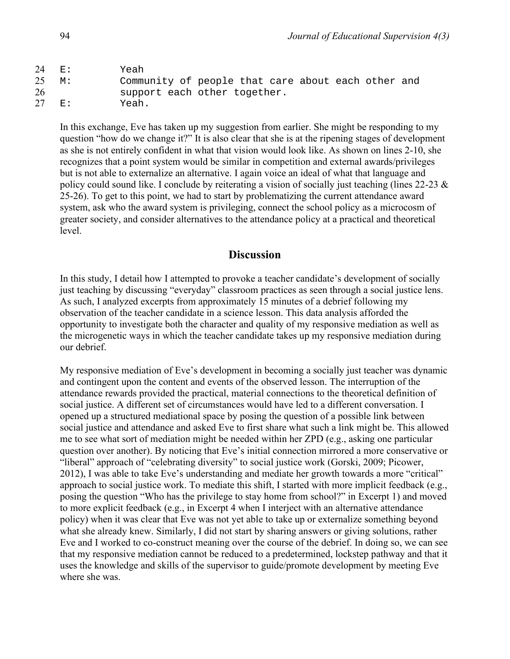| $24$ E:         | Yeah                                               |
|-----------------|----------------------------------------------------|
| $25 \text{ M}:$ | Community of people that care about each other and |
| 26              | support each other together.                       |
| 27 E:           | Yeah.                                              |

In this exchange, Eve has taken up my suggestion from earlier. She might be responding to my question "how do we change it?" It is also clear that she is at the ripening stages of development as she is not entirely confident in what that vision would look like. As shown on lines 2-10, she recognizes that a point system would be similar in competition and external awards/privileges but is not able to externalize an alternative. I again voice an ideal of what that language and policy could sound like. I conclude by reiterating a vision of socially just teaching (lines 22-23 & 25-26). To get to this point, we had to start by problematizing the current attendance award system, ask who the award system is privileging, connect the school policy as a microcosm of greater society, and consider alternatives to the attendance policy at a practical and theoretical level.

## **Discussion**

In this study, I detail how I attempted to provoke a teacher candidate's development of socially just teaching by discussing "everyday" classroom practices as seen through a social justice lens. As such, I analyzed excerpts from approximately 15 minutes of a debrief following my observation of the teacher candidate in a science lesson. This data analysis afforded the opportunity to investigate both the character and quality of my responsive mediation as well as the microgenetic ways in which the teacher candidate takes up my responsive mediation during our debrief.

My responsive mediation of Eve's development in becoming a socially just teacher was dynamic and contingent upon the content and events of the observed lesson. The interruption of the attendance rewards provided the practical, material connections to the theoretical definition of social justice. A different set of circumstances would have led to a different conversation. I opened up a structured mediational space by posing the question of a possible link between social justice and attendance and asked Eve to first share what such a link might be. This allowed me to see what sort of mediation might be needed within her ZPD (e.g., asking one particular question over another). By noticing that Eve's initial connection mirrored a more conservative or "liberal" approach of "celebrating diversity" to social justice work (Gorski, 2009; Picower, 2012), I was able to take Eve's understanding and mediate her growth towards a more "critical" approach to social justice work. To mediate this shift, I started with more implicit feedback (e.g., posing the question "Who has the privilege to stay home from school?" in Excerpt 1) and moved to more explicit feedback (e.g., in Excerpt 4 when I interject with an alternative attendance policy) when it was clear that Eve was not yet able to take up or externalize something beyond what she already knew. Similarly, I did not start by sharing answers or giving solutions, rather Eve and I worked to co-construct meaning over the course of the debrief. In doing so, we can see that my responsive mediation cannot be reduced to a predetermined, lockstep pathway and that it uses the knowledge and skills of the supervisor to guide/promote development by meeting Eve where she was.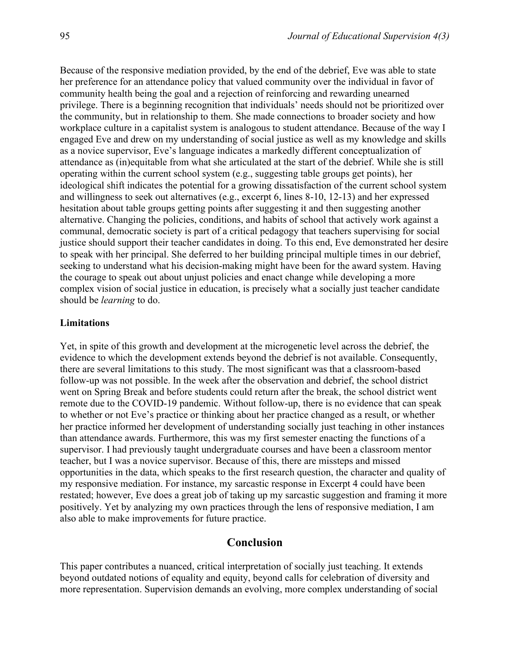Because of the responsive mediation provided, by the end of the debrief, Eve was able to state her preference for an attendance policy that valued community over the individual in favor of community health being the goal and a rejection of reinforcing and rewarding unearned privilege. There is a beginning recognition that individuals' needs should not be prioritized over the community, but in relationship to them. She made connections to broader society and how workplace culture in a capitalist system is analogous to student attendance. Because of the way I engaged Eve and drew on my understanding of social justice as well as my knowledge and skills as a novice supervisor, Eve's language indicates a markedly different conceptualization of attendance as (in)equitable from what she articulated at the start of the debrief. While she is still operating within the current school system (e.g., suggesting table groups get points), her ideological shift indicates the potential for a growing dissatisfaction of the current school system and willingness to seek out alternatives (e.g., excerpt 6, lines 8-10, 12-13) and her expressed hesitation about table groups getting points after suggesting it and then suggesting another alternative. Changing the policies, conditions, and habits of school that actively work against a communal, democratic society is part of a critical pedagogy that teachers supervising for social justice should support their teacher candidates in doing. To this end, Eve demonstrated her desire to speak with her principal. She deferred to her building principal multiple times in our debrief, seeking to understand what his decision-making might have been for the award system. Having the courage to speak out about unjust policies and enact change while developing a more complex vision of social justice in education, is precisely what a socially just teacher candidate should be *learning* to do.

#### **Limitations**

Yet, in spite of this growth and development at the microgenetic level across the debrief, the evidence to which the development extends beyond the debrief is not available. Consequently, there are several limitations to this study. The most significant was that a classroom-based follow-up was not possible. In the week after the observation and debrief, the school district went on Spring Break and before students could return after the break, the school district went remote due to the COVID-19 pandemic. Without follow-up, there is no evidence that can speak to whether or not Eve's practice or thinking about her practice changed as a result, or whether her practice informed her development of understanding socially just teaching in other instances than attendance awards. Furthermore, this was my first semester enacting the functions of a supervisor. I had previously taught undergraduate courses and have been a classroom mentor teacher, but I was a novice supervisor. Because of this, there are missteps and missed opportunities in the data, which speaks to the first research question, the character and quality of my responsive mediation. For instance, my sarcastic response in Excerpt 4 could have been restated; however, Eve does a great job of taking up my sarcastic suggestion and framing it more positively. Yet by analyzing my own practices through the lens of responsive mediation, I am also able to make improvements for future practice.

## **Conclusion**

This paper contributes a nuanced, critical interpretation of socially just teaching. It extends beyond outdated notions of equality and equity, beyond calls for celebration of diversity and more representation. Supervision demands an evolving, more complex understanding of social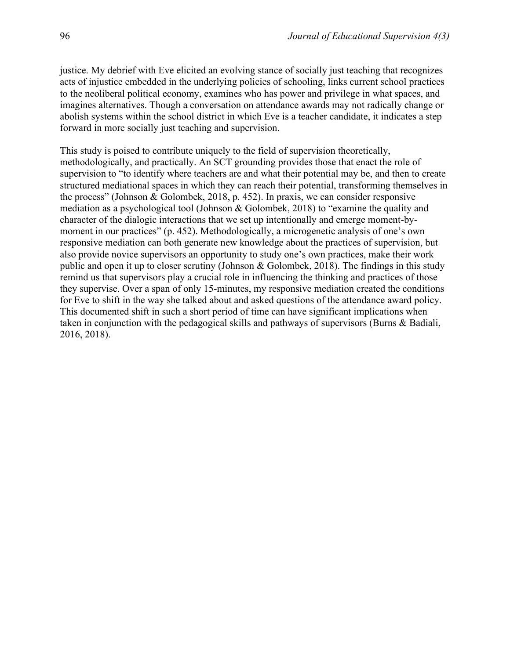justice. My debrief with Eve elicited an evolving stance of socially just teaching that recognizes acts of injustice embedded in the underlying policies of schooling, links current school practices to the neoliberal political economy, examines who has power and privilege in what spaces, and imagines alternatives. Though a conversation on attendance awards may not radically change or abolish systems within the school district in which Eve is a teacher candidate, it indicates a step forward in more socially just teaching and supervision.

This study is poised to contribute uniquely to the field of supervision theoretically, methodologically, and practically. An SCT grounding provides those that enact the role of supervision to "to identify where teachers are and what their potential may be, and then to create structured mediational spaces in which they can reach their potential, transforming themselves in the process" (Johnson & Golombek, 2018, p. 452). In praxis, we can consider responsive mediation as a psychological tool (Johnson & Golombek, 2018) to "examine the quality and character of the dialogic interactions that we set up intentionally and emerge moment-bymoment in our practices" (p. 452). Methodologically, a microgenetic analysis of one's own responsive mediation can both generate new knowledge about the practices of supervision, but also provide novice supervisors an opportunity to study one's own practices, make their work public and open it up to closer scrutiny (Johnson & Golombek, 2018). The findings in this study remind us that supervisors play a crucial role in influencing the thinking and practices of those they supervise. Over a span of only 15-minutes, my responsive mediation created the conditions for Eve to shift in the way she talked about and asked questions of the attendance award policy. This documented shift in such a short period of time can have significant implications when taken in conjunction with the pedagogical skills and pathways of supervisors (Burns & Badiali, 2016, 2018).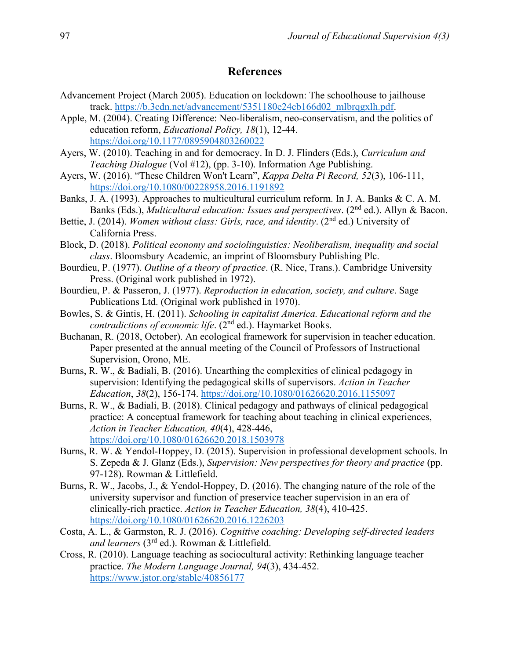## **References**

- Advancement Project (March 2005). Education on lockdown: The schoolhouse to jailhouse track. [https://b.3cdn.net/advancement/5351180e24cb166d02\\_mlbrqgxlh.pdf.](https://b.3cdn.net/advancement/5351180e24cb166d02_mlbrqgxlh.pdf)
- Apple, M. (2004). Creating Difference: Neo-liberalism, neo-conservatism, and the politics of education reform, *Educational Policy, 18*(1), 12-44. <https://doi.org/10.1177/0895904803260022>
- Ayers, W. (2010). Teaching in and for democracy. In D. J. Flinders (Eds.), *Curriculum and Teaching Dialogue* (Vol #12), (pp. 3-10). Information Age Publishing.
- Ayers, W. (2016). "These Children Won't Learn", *Kappa Delta Pi Record, 52*(3), 106-111, <https://doi.org/10.1080/00228958.2016.1191892>
- Banks, J. A. (1993). Approaches to multicultural curriculum reform. In J. A. Banks & C. A. M. Banks (Eds.), *Multicultural education: Issues and perspectives.* (2<sup>nd</sup> ed.). Allyn & Bacon.
- Bettie, J. (2014). *Women without class: Girls, race, and identity.* (2<sup>nd</sup> ed.) University of California Press.
- Block, D. (2018). *Political economy and sociolinguistics: Neoliberalism, inequality and social class*. Bloomsbury Academic, an imprint of Bloomsbury Publishing Plc.
- Bourdieu, P. (1977). *Outline of a theory of practice*. (R. Nice, Trans.). Cambridge University Press. (Original work published in 1972).
- Bourdieu, P. & Passeron, J. (1977). *Reproduction in education, society, and culture*. Sage Publications Ltd. (Original work published in 1970).
- Bowles, S. & Gintis, H. (2011). *Schooling in capitalist America. Educational reform and the contradictions of economic life.* (2<sup>nd</sup> ed.). Haymarket Books.
- Buchanan, R. (2018, October). An ecological framework for supervision in teacher education. Paper presented at the annual meeting of the Council of Professors of Instructional Supervision, Orono, ME.
- Burns, R. W., & Badiali, B. (2016). Unearthing the complexities of clinical pedagogy in supervision: Identifying the pedagogical skills of supervisors. *Action in Teacher Education*, *38*(2), 156-174. <https://doi.org/10.1080/01626620.2016.1155097>
- Burns, R. W., & Badiali, B. (2018). Clinical pedagogy and pathways of clinical pedagogical practice: A conceptual framework for teaching about teaching in clinical experiences, *Action in Teacher Education, 40*(4), 428-446, <https://doi.org/10.1080/01626620.2018.1503978>
- Burns, R. W. & Yendol-Hoppey, D. (2015). Supervision in professional development schools. In S. Zepeda & J. Glanz (Eds.), *Supervision: New perspectives for theory and practice* (pp. 97-128). Rowman & Littlefield.
- Burns, R. W., Jacobs, J., & Yendol-Hoppey, D. (2016). The changing nature of the role of the university supervisor and function of preservice teacher supervision in an era of clinically-rich practice. *Action in Teacher Education, 38*(4), 410-425. <https://doi.org/10.1080/01626620.2016.1226203>
- Costa, A. L., & Garmston, R. J. (2016). *Cognitive coaching: Developing self-directed leaders and learners* (3rd ed.). Rowman & Littlefield.
- Cross, R. (2010). Language teaching as sociocultural activity: Rethinking language teacher practice. *The Modern Language Journal, 94*(3), 434-452. <https://www.jstor.org/stable/40856177>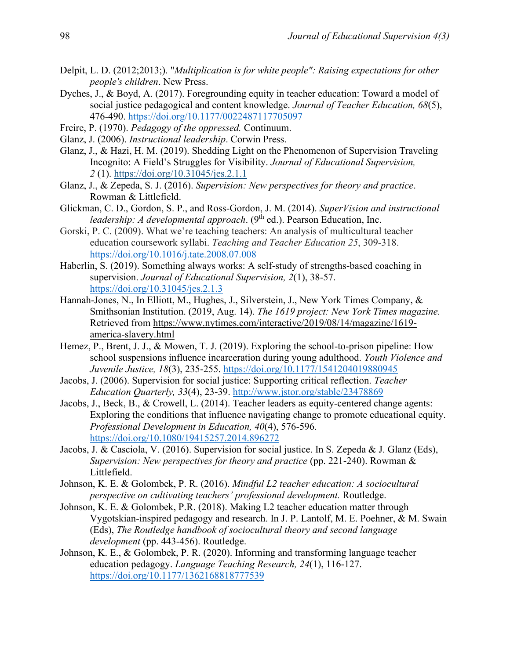- Delpit, L. D. (2012;2013;). "*Multiplication is for white people": Raising expectations for other people's children*. New Press.
- Dyches, J., & Boyd, A. (2017). Foregrounding equity in teacher education: Toward a model of social justice pedagogical and content knowledge. *Journal of Teacher Education, 68*(5), 476-490.<https://doi.org/10.1177/0022487117705097>
- Freire, P. (1970). *Pedagogy of the oppressed.* Continuum.
- Glanz, J. (2006). *Instructional leadership*. Corwin Press.
- Glanz, J., & Hazi, H. M. (2019). Shedding Light on the Phenomenon of Supervision Traveling Incognito: A Field's Struggles for Visibility. *Journal of Educational Supervision, 2* (1). <https://doi.org/10.31045/jes.2.1.1>
- Glanz, J., & Zepeda, S. J. (2016). *Supervision: New perspectives for theory and practice*. Rowman & Littlefield.
- Glickman, C. D., Gordon, S. P., and Ross-Gordon, J. M. (2014). *SuperVision and instructional leadership: A developmental approach.* (9<sup>th</sup> ed.). Pearson Education, Inc.
- Gorski, P. C. (2009). What we're teaching teachers: An analysis of multicultural teacher education coursework syllabi. *Teaching and Teacher Education 25*, 309-318. <https://doi.org/10.1016/j.tate.2008.07.008>
- Haberlin, S. (2019). Something always works: A self-study of strengths-based coaching in supervision. *Journal of Educational Supervision, 2*(1), 38-57. <https://doi.org/10.31045/jes.2.1.3>
- Hannah-Jones, N., In Elliott, M., Hughes, J., Silverstein, J., New York Times Company, & Smithsonian Institution. (2019, Aug. 14). *The 1619 project: New York Times magazine.*  Retrieved from [https://www.nytimes.com/interactive/2019/08/14/magazine/1619](https://www.nytimes.com/interactive/2019/08/14/magazine/1619-america-slavery.html) [america-slavery.html](https://www.nytimes.com/interactive/2019/08/14/magazine/1619-america-slavery.html)
- Hemez, P., Brent, J. J., & Mowen, T. J. (2019). Exploring the school-to-prison pipeline: How school suspensions influence incarceration during young adulthood. *Youth Violence and Juvenile Justice, 18*(3), 235-255.<https://doi.org/10.1177/1541204019880945>
- Jacobs, J. (2006). Supervision for social justice: Supporting critical reflection. *Teacher Education Quarterly, 33*(4), 23-39. <http://www.jstor.org/stable/23478869>
- Jacobs, J., Beck, B., & Crowell, L. (2014). Teacher leaders as equity-centered change agents: Exploring the conditions that influence navigating change to promote educational equity. *Professional Development in Education, 40*(4), 576-596. <https://doi.org/10.1080/19415257.2014.896272>
- Jacobs, J. & Casciola, V. (2016). Supervision for social justice. In S. Zepeda & J. Glanz (Eds), *Supervision: New perspectives for theory and practice* (pp. 221-240). Rowman & Littlefield.
- Johnson, K. E. & Golombek, P. R. (2016). *Mindful L2 teacher education: A sociocultural perspective on cultivating teachers' professional development.* Routledge.
- Johnson, K. E. & Golombek, P.R. (2018). Making L2 teacher education matter through Vygotskian-inspired pedagogy and research. In J. P. Lantolf, M. E. Poehner, & M. Swain (Eds), *The Routledge handbook of sociocultural theory and second language development* (pp. 443-456). Routledge.
- Johnson, K. E., & Golombek, P. R. (2020). Informing and transforming language teacher education pedagogy. *Language Teaching Research, 24*(1), 116-127. <https://doi.org/10.1177/1362168818777539>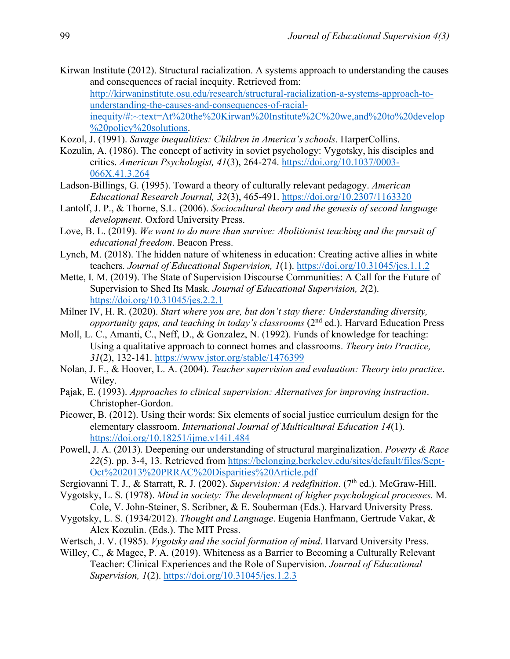- Kirwan Institute (2012). Structural racialization. A systems approach to understanding the causes and consequences of racial inequity. Retrieved from: [http://kirwaninstitute.osu.edu/research/structural-racialization-a-systems-approach-to](http://kirwaninstitute.osu.edu/research/structural-racialization-a-systems-approach-to-understanding-the-causes-and-consequences-of-racial-inequity/#:~:text=At%20the%20Kirwan%20Institute%2C%20we,and%20to%20develop%20policy%20solutions)[understanding-the-causes-and-consequences-of-racial](http://kirwaninstitute.osu.edu/research/structural-racialization-a-systems-approach-to-understanding-the-causes-and-consequences-of-racial-inequity/#:~:text=At%20the%20Kirwan%20Institute%2C%20we,and%20to%20develop%20policy%20solutions)[inequity/#:~:text=At%20the%20Kirwan%20Institute%2C%20we,and%20to%20develop](http://kirwaninstitute.osu.edu/research/structural-racialization-a-systems-approach-to-understanding-the-causes-and-consequences-of-racial-inequity/#:~:text=At%20the%20Kirwan%20Institute%2C%20we,and%20to%20develop%20policy%20solutions) [%20policy%20solutions.](http://kirwaninstitute.osu.edu/research/structural-racialization-a-systems-approach-to-understanding-the-causes-and-consequences-of-racial-inequity/#:~:text=At%20the%20Kirwan%20Institute%2C%20we,and%20to%20develop%20policy%20solutions)
- Kozol, J. (1991). *Savage inequalities: Children in America's schools*. HarperCollins.
- Kozulin, A. (1986). The concept of activity in soviet psychology: Vygotsky, his disciples and critics. *American Psychologist, 41*(3), 264-274. [https://doi.org/10.1037/0003-](https://doi.org/10.1037/0003-066X.41.3.264) [066X.41.3.264](https://doi.org/10.1037/0003-066X.41.3.264)
- Ladson-Billings, G. (1995). Toward a theory of culturally relevant pedagogy. *American Educational Research Journal, 32*(3), 465-491.<https://doi.org/10.2307/1163320>
- Lantolf, J. P., & Thorne, S.L. (2006). *Sociocultural theory and the genesis of second language development.* Oxford University Press.
- Love, B. L. (2019). *We want to do more than survive: Abolitionist teaching and the pursuit of educational freedom*. Beacon Press.
- Lynch, M. (2018). The hidden nature of whiteness in education: Creating active allies in white teachers*. Journal of Educational Supervision, 1*(1).<https://doi.org/10.31045/jes.1.1.2>
- Mette, I. M. (2019). The State of Supervision Discourse Communities: A Call for the Future of Supervision to Shed Its Mask. *Journal of Educational Supervision, 2*(2). <https://doi.org/10.31045/jes.2.2.1>
- Milner IV, H. R. (2020). *Start where you are, but don't stay there: Understanding diversity, opportunity gaps, and teaching in today's classrooms* (2nd ed.). Harvard Education Press
- Moll, L. C., Amanti, C., Neff, D., & Gonzalez, N. (1992). Funds of knowledge for teaching: Using a qualitative approach to connect homes and classrooms. *Theory into Practice, 31*(2), 132-141. <https://www.jstor.org/stable/1476399>
- Nolan, J. F., & Hoover, L. A. (2004). *Teacher supervision and evaluation: Theory into practice*. Wiley.
- Pajak, E. (1993). *Approaches to clinical supervision: Alternatives for improving instruction*. Christopher-Gordon.
- Picower, B. (2012). Using their words: Six elements of social justice curriculum design for the elementary classroom. *International Journal of Multicultural Education 14*(1). <https://doi.org/10.18251/ijme.v14i1.484>
- Powell, J. A. (2013). Deepening our understanding of structural marginalization. *Poverty & Race 22*(5). pp. 3-4, 13. Retrieved from [https://belonging.berkeley.edu/sites/default/files/Sept-](https://belonging.berkeley.edu/sites/default/files/Sept-Oct%202013%20PRRAC%20Disparities%20Article.pdf)[Oct%202013%20PRRAC%20Disparities%20Article.pdf](https://belonging.berkeley.edu/sites/default/files/Sept-Oct%202013%20PRRAC%20Disparities%20Article.pdf)
- Sergiovanni T. J., & Starratt, R. J. (2002). *Supervision: A redefinition*. (7<sup>th</sup> ed.). McGraw-Hill.
- Vygotsky, L. S. (1978). *Mind in society: The development of higher psychological processes.* M. Cole, V. John-Steiner, S. Scribner, & E. Souberman (Eds.). Harvard University Press.
- Vygotsky, L. S. (1934/2012). *Thought and Language*. Eugenia Hanfmann, Gertrude Vakar, & Alex Kozulin. (Eds.). The MIT Press.
- Wertsch, J. V. (1985). *Vygotsky and the social formation of mind*. Harvard University Press.
- Willey, C., & Magee, P. A. (2019). Whiteness as a Barrier to Becoming a Culturally Relevant Teacher: Clinical Experiences and the Role of Supervision. *Journal of Educational Supervision, 1*(2).<https://doi.org/10.31045/jes.1.2.3>